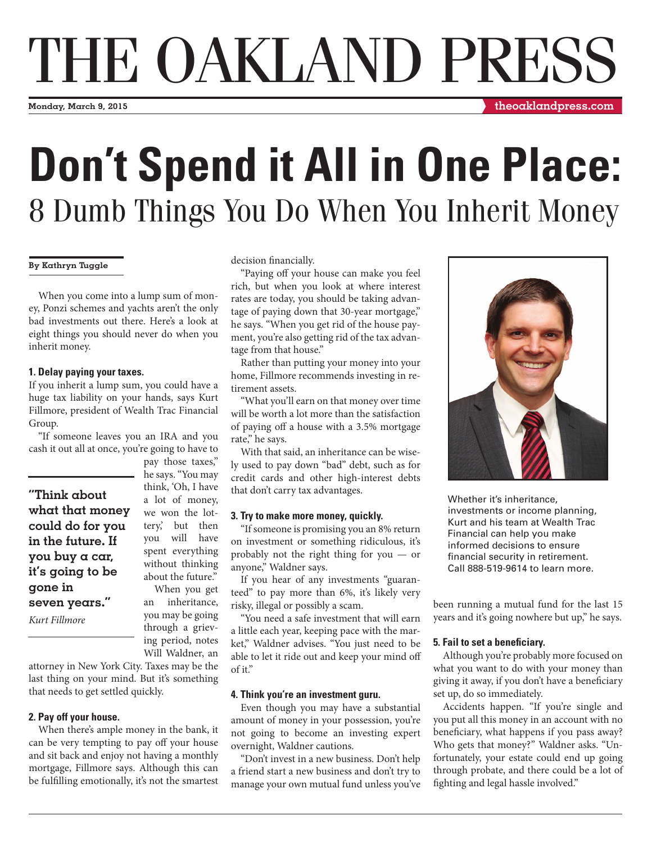# THE OAKLAND PRESS

**Monday, March 9, 2015**

**theoaklandpress.com**

# **Don't Spend it All in One Place:**  8 Dumb Things You Do When You Inherit Money

# **By Kathryn Tuggle**

When you come into a lump sum of money, Ponzi schemes and yachts aren't the only bad investments out there. Here's a look at eight things you should never do when you inherit money.

#### **1. Delay paying your taxes.**

If you inherit a lump sum, you could have a huge tax liability on your hands, says Kurt Fillmore, president of Wealth Trac Financial Group.

"If someone leaves you an IRA and you cash it out all at once, you're going to have to

**"Think about what that money could do for you in the future. If you buy a car, it's going to be gone in seven years."**

*Kurt Fillmore*

pay those taxes," he says. "You may think, 'Oh, I have a lot of money, we won the lottery,' but then you will have spent everything without thinking about the future." When you get

an inheritance, you may be going through a grieving period, notes Will Waldner, an

attorney in New York City. Taxes may be the last thing on your mind. But it's something that needs to get settled quickly.

# **2. Pay off your house.**

When there's ample money in the bank, it can be very tempting to pay off your house and sit back and enjoy not having a monthly mortgage, Fillmore says. Although this can be fulfilling emotionally, it's not the smartest decision financially.

"Paying off your house can make you feel rich, but when you look at where interest rates are today, you should be taking advantage of paying down that 30-year mortgage," he says. "When you get rid of the house payment, you're also getting rid of the tax advantage from that house."

Rather than putting your money into your home, Fillmore recommends investing in retirement assets.

"What you'll earn on that money over time will be worth a lot more than the satisfaction of paying off a house with a 3.5% mortgage rate," he says.

With that said, an inheritance can be wisely used to pay down "bad" debt, such as for credit cards and other high-interest debts that don't carry tax advantages.

# **3. Try to make more money, quickly.**

"If someone is promising you an 8% return on investment or something ridiculous, it's probably not the right thing for you — or anyone," Waldner says.

If you hear of any investments "guaranteed" to pay more than 6%, it's likely very risky, illegal or possibly a scam.

"You need a safe investment that will earn a little each year, keeping pace with the market," Waldner advises. "You just need to be able to let it ride out and keep your mind off of it."

# **4. Think you're an investment guru.**

Even though you may have a substantial amount of money in your possession, you're not going to become an investing expert overnight, Waldner cautions.

"Don't invest in a new business. Don't help a friend start a new business and don't try to manage your own mutual fund unless you've



Whether it's inheritance, investments or income planning, Kurt and his team at Wealth Trac Financial can help you make informed decisions to ensure financial security in retirement. Call 888-519-9614 to learn more.

been running a mutual fund for the last 15 years and it's going nowhere but up," he says.

# **5. Fail to set a beneficiary.**

Although you're probably more focused on what you want to do with your money than giving it away, if you don't have a beneficiary set up, do so immediately.

Accidents happen. "If you're single and you put all this money in an account with no beneficiary, what happens if you pass away? Who gets that money?" Waldner asks. "Unfortunately, your estate could end up going through probate, and there could be a lot of fighting and legal hassle involved."